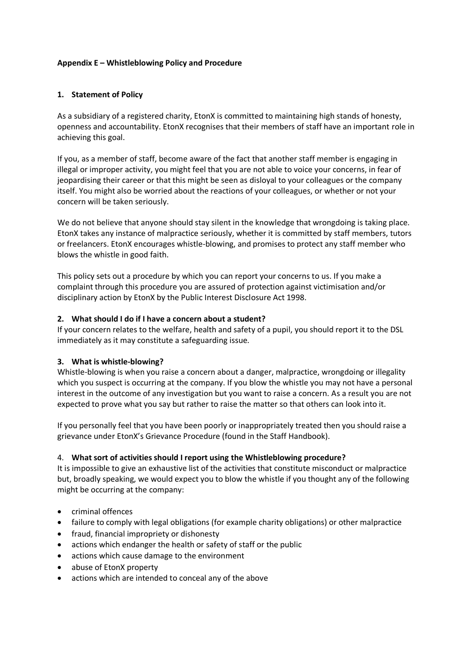## **Appendix E – Whistleblowing Policy and Procedure**

## **1. Statement of Policy**

As a subsidiary of a registered charity, EtonX is committed to maintaining high stands of honesty, openness and accountability. EtonX recognises that their members of staff have an important role in achieving this goal.

If you, as a member of staff, become aware of the fact that another staff member is engaging in illegal or improper activity, you might feel that you are not able to voice your concerns, in fear of jeopardising their career or that this might be seen as disloyal to your colleagues or the company itself. You might also be worried about the reactions of your colleagues, or whether or not your concern will be taken seriously.

We do not believe that anyone should stay silent in the knowledge that wrongdoing is taking place. EtonX takes any instance of malpractice seriously, whether it is committed by staff members, tutors or freelancers. EtonX encourages whistle-blowing, and promises to protect any staff member who blows the whistle in good faith.

This policy sets out a procedure by which you can report your concerns to us. If you make a complaint through this procedure you are assured of protection against victimisation and/or disciplinary action by EtonX by the Public Interest Disclosure Act 1998.

## **2. What should I do if I have a concern about a student?**

If your concern relates to the welfare, health and safety of a pupil, you should report it to the DSL immediately as it may constitute a safeguarding issue.

### **3. What is whistle-blowing?**

Whistle-blowing is when you raise a concern about a danger, malpractice, wrongdoing or illegality which you suspect is occurring at the company. If you blow the whistle you may not have a personal interest in the outcome of any investigation but you want to raise a concern. As a result you are not expected to prove what you say but rather to raise the matter so that others can look into it.

If you personally feel that you have been poorly or inappropriately treated then you should raise a grievance under EtonX's Grievance Procedure (found in the Staff Handbook).

### 4. **What sort of activities should I report using the Whistleblowing procedure?**

It is impossible to give an exhaustive list of the activities that constitute misconduct or malpractice but, broadly speaking, we would expect you to blow the whistle if you thought any of the following might be occurring at the company:

- criminal offences
- failure to comply with legal obligations (for example charity obligations) or other malpractice
- fraud, financial impropriety or dishonesty
- actions which endanger the health or safety of staff or the public
- actions which cause damage to the environment
- abuse of EtonX property
- actions which are intended to conceal any of the above